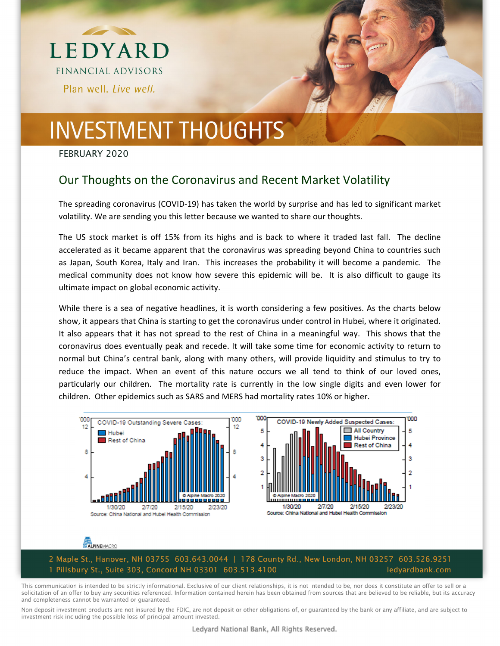



# **INVESTMENT THOUGHTS**

FEBRUARY 2020

### Our Thoughts on the Coronavirus and Recent Market Volatility

The spreading coronavirus (COVID‐19) has taken the world by surprise and has led to significant market volatility. We are sending you this letter because we wanted to share our thoughts.

The US stock market is off 15% from its highs and is back to where it traded last fall. The decline accelerated as it became apparent that the coronavirus was spreading beyond China to countries such as Japan, South Korea, Italy and Iran. This increases the probability it will become a pandemic. The medical community does not know how severe this epidemic will be. It is also difficult to gauge its ultimate impact on global economic activity.

While there is a sea of negative headlines, it is worth considering a few positives. As the charts below show, it appears that China is starting to get the coronavirus under control in Hubei, where it originated. It also appears that it has not spread to the rest of China in a meaningful way. This shows that the coronavirus does eventually peak and recede. It will take some time for economic activity to return to normal but China's central bank, along with many others, will provide liquidity and stimulus to try to reduce the impact. When an event of this nature occurs we all tend to think of our loved ones, particularly our children. The mortality rate is currently in the low single digits and even lower for children. Other epidemics such as SARS and MERS had mortality rates 10% or higher.



#### ALPINEMACRO

2 Maple St., Hanover, NH 03755 603.643.0044 | 178 County Rd., New London, NH 03257 603.526.9251 1 Pillsbury St., Suite 303, Concord NH 03301 603.513.4100 ledyardbank.com

This communication is intended to be strictly informational. Exclusive of our client relationships, it is not intended to be, nor does it constitute an offer to sell or a solicitation of an offer to buy any securities referenced. Information contained herein has been obtained from sources that are believed to be reliable, but its accuracy and completeness cannot be warranted or guaranteed.

Non-deposit investment products are not insured by the FDIC, are not deposit or other obligations of, or guaranteed by the bank or any affiliate, and are subject to investment risk including the possible loss of principal amount invested.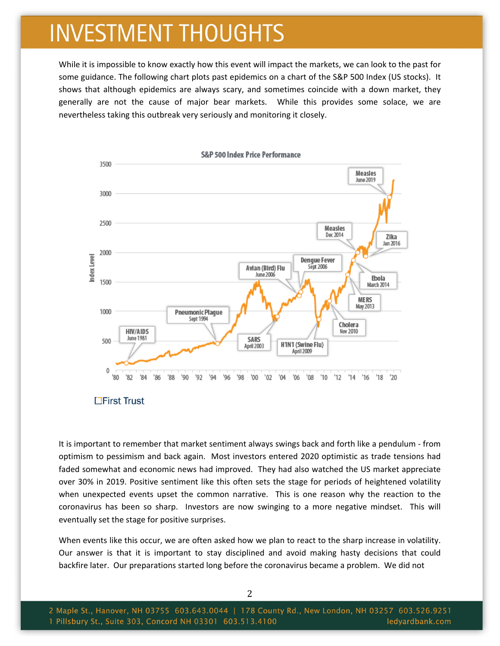## **INVESTMENT THOUGHTS**

While it is impossible to know exactly how this event will impact the markets, we can look to the past for some guidance. The following chart plots past epidemics on a chart of the S&P 500 Index (US stocks). It shows that although epidemics are always scary, and sometimes coincide with a down market, they generally are not the cause of major bear markets. While this provides some solace, we are nevertheless taking this outbreak very seriously and monitoring it closely.



**L'Eirst Trust** 

It is important to remember that market sentiment always swings back and forth like a pendulum ‐ from optimism to pessimism and back again. Most investors entered 2020 optimistic as trade tensions had faded somewhat and economic news had improved. They had also watched the US market appreciate over 30% in 2019. Positive sentiment like this often sets the stage for periods of heightened volatility when unexpected events upset the common narrative. This is one reason why the reaction to the coronavirus has been so sharp. Investors are now swinging to a more negative mindset. This will eventually set the stage for positive surprises.

When events like this occur, we are often asked how we plan to react to the sharp increase in volatility. Our answer is that it is important to stay disciplined and avoid making hasty decisions that could backfire later. Our preparations started long before the coronavirus became a problem. We did not